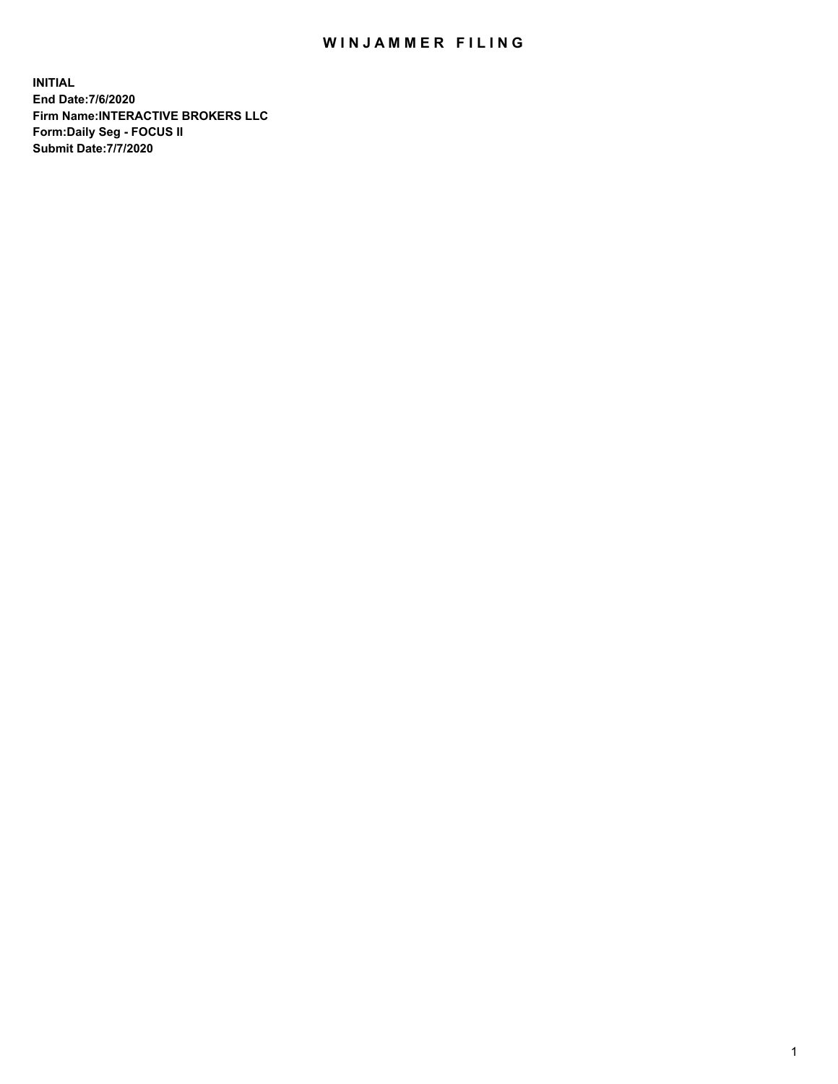## WIN JAMMER FILING

**INITIAL End Date:7/6/2020 Firm Name:INTERACTIVE BROKERS LLC Form:Daily Seg - FOCUS II Submit Date:7/7/2020**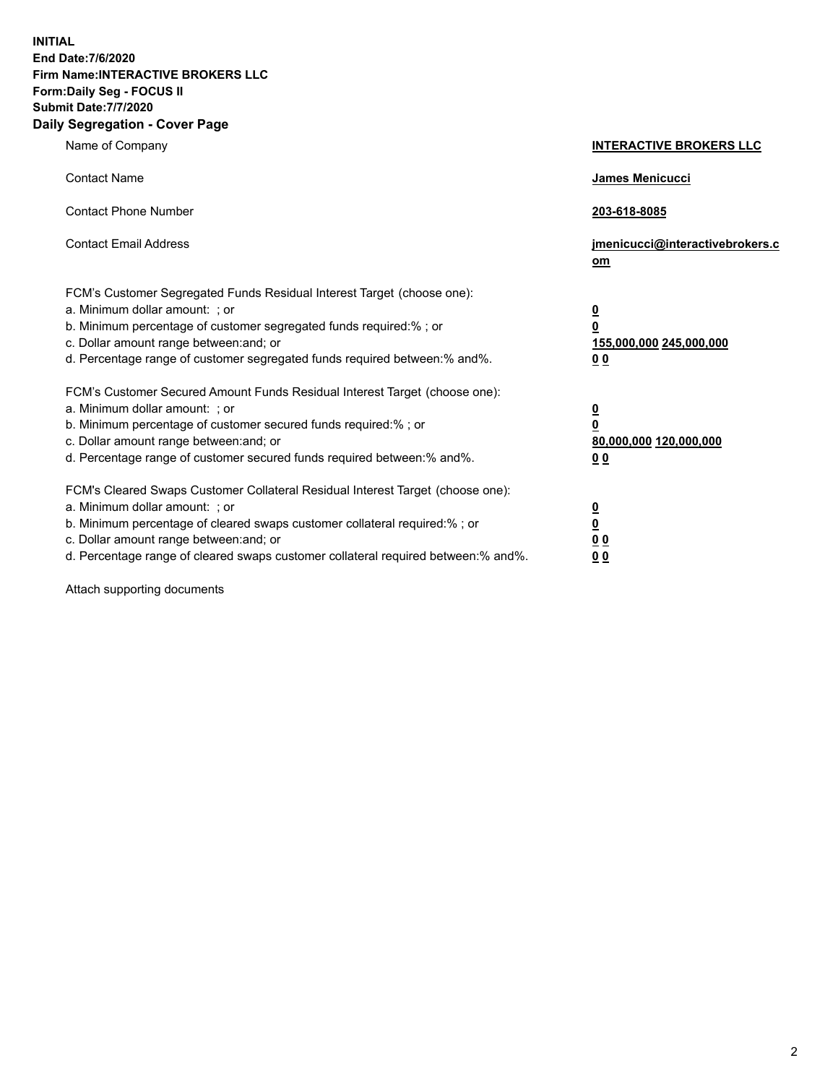**INITIAL End Date:7/6/2020 Firm Name:INTERACTIVE BROKERS LLC Form:Daily Seg - FOCUS II Submit Date:7/7/2020 Daily Segregation - Cover Page**

| Name of Company                                                                                                                                                                                                                                                                                                               | <b>INTERACTIVE BROKERS LLC</b>                                                             |
|-------------------------------------------------------------------------------------------------------------------------------------------------------------------------------------------------------------------------------------------------------------------------------------------------------------------------------|--------------------------------------------------------------------------------------------|
| <b>Contact Name</b>                                                                                                                                                                                                                                                                                                           | <b>James Menicucci</b>                                                                     |
| <b>Contact Phone Number</b>                                                                                                                                                                                                                                                                                                   | 203-618-8085                                                                               |
| <b>Contact Email Address</b>                                                                                                                                                                                                                                                                                                  | jmenicucci@interactivebrokers.c<br>om                                                      |
| FCM's Customer Segregated Funds Residual Interest Target (choose one):<br>a. Minimum dollar amount: : or<br>b. Minimum percentage of customer segregated funds required:% ; or<br>c. Dollar amount range between: and; or<br>d. Percentage range of customer segregated funds required between:% and%.                        | $\overline{\mathbf{0}}$<br>0<br>155,000,000 245,000,000<br><u>00</u>                       |
| FCM's Customer Secured Amount Funds Residual Interest Target (choose one):<br>a. Minimum dollar amount: ; or<br>b. Minimum percentage of customer secured funds required:% ; or<br>c. Dollar amount range between: and; or<br>d. Percentage range of customer secured funds required between:% and%.                          | $\overline{\mathbf{0}}$<br>$\overline{\mathbf{0}}$<br>80,000,000 120,000,000<br><u>0 0</u> |
| FCM's Cleared Swaps Customer Collateral Residual Interest Target (choose one):<br>a. Minimum dollar amount: ; or<br>b. Minimum percentage of cleared swaps customer collateral required:%; or<br>c. Dollar amount range between: and; or<br>d. Percentage range of cleared swaps customer collateral required between:% and%. | $\frac{0}{0}$<br>0 <sub>0</sub><br>0 <sub>0</sub>                                          |

Attach supporting documents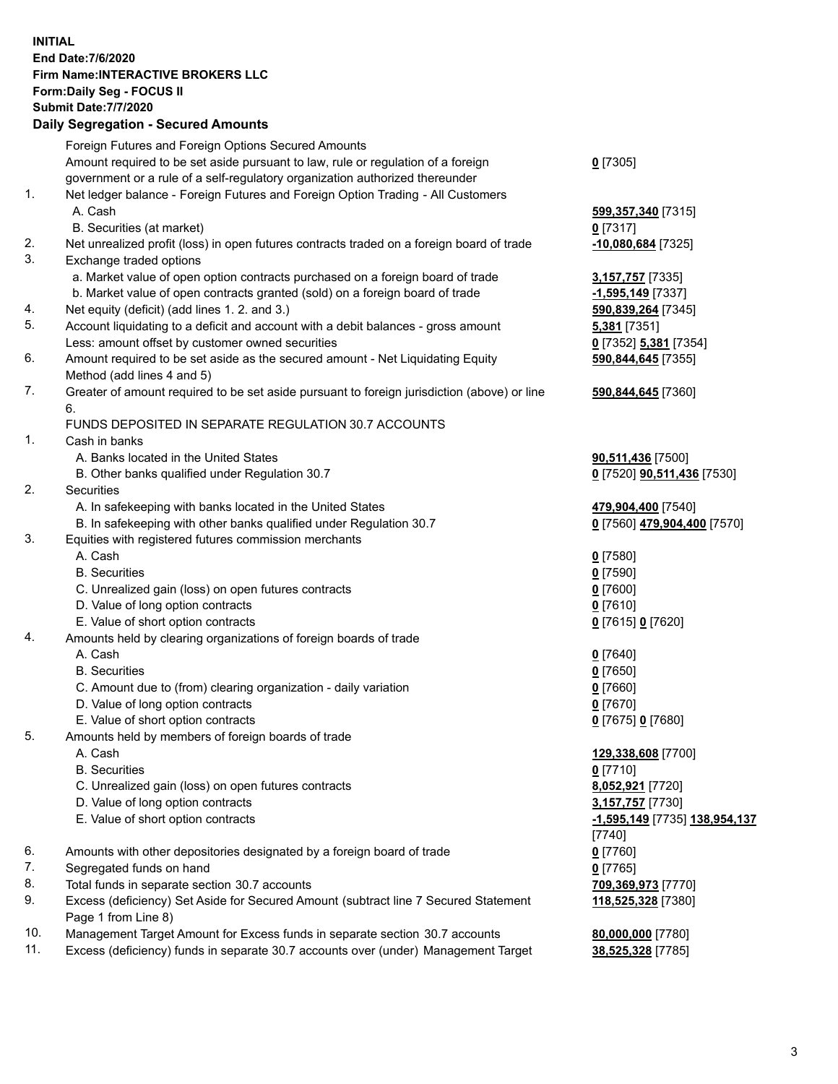**INITIAL End Date:7/6/2020 Firm Name:INTERACTIVE BROKERS LLC Form:Daily Seg - FOCUS II Submit Date:7/7/2020 Daily Segregation - Secured Amounts**

|     | Daily Segregation - Secured Amounts                                                                        |                               |
|-----|------------------------------------------------------------------------------------------------------------|-------------------------------|
|     | Foreign Futures and Foreign Options Secured Amounts                                                        |                               |
|     | Amount required to be set aside pursuant to law, rule or regulation of a foreign                           | $0$ [7305]                    |
|     | government or a rule of a self-regulatory organization authorized thereunder                               |                               |
| 1.  | Net ledger balance - Foreign Futures and Foreign Option Trading - All Customers                            |                               |
|     | A. Cash                                                                                                    | 599,357,340 [7315]            |
|     | B. Securities (at market)                                                                                  | $0$ [7317]                    |
| 2.  | Net unrealized profit (loss) in open futures contracts traded on a foreign board of trade                  | $-10,080,684$ [7325]          |
| 3.  | Exchange traded options                                                                                    |                               |
|     | a. Market value of open option contracts purchased on a foreign board of trade                             | 3,157,757 [7335]              |
|     | b. Market value of open contracts granted (sold) on a foreign board of trade                               | -1,595,149 [7337]             |
| 4.  | Net equity (deficit) (add lines 1. 2. and 3.)                                                              | 590,839,264 [7345]            |
| 5.  | Account liquidating to a deficit and account with a debit balances - gross amount                          | 5,381 [7351]                  |
|     | Less: amount offset by customer owned securities                                                           | 0 [7352] 5,381 [7354]         |
| 6.  | Amount required to be set aside as the secured amount - Net Liquidating Equity                             | 590,844,645 [7355]            |
|     | Method (add lines 4 and 5)                                                                                 |                               |
| 7.  | Greater of amount required to be set aside pursuant to foreign jurisdiction (above) or line                | 590,844,645 [7360]            |
|     | 6.                                                                                                         |                               |
|     | FUNDS DEPOSITED IN SEPARATE REGULATION 30.7 ACCOUNTS                                                       |                               |
| 1.  | Cash in banks                                                                                              |                               |
|     | A. Banks located in the United States                                                                      | 90,511,436 [7500]             |
|     | B. Other banks qualified under Regulation 30.7                                                             | 0 [7520] 90,511,436 [7530]    |
| 2.  | Securities                                                                                                 |                               |
|     | A. In safekeeping with banks located in the United States                                                  | 479,904,400 [7540]            |
|     | B. In safekeeping with other banks qualified under Regulation 30.7                                         | 0 [7560] 479,904,400 [7570]   |
| 3.  | Equities with registered futures commission merchants                                                      |                               |
|     | A. Cash                                                                                                    | $0$ [7580]                    |
|     | <b>B.</b> Securities                                                                                       | $0$ [7590]                    |
|     | C. Unrealized gain (loss) on open futures contracts                                                        | $0$ [7600]                    |
|     | D. Value of long option contracts                                                                          | $0$ [7610]                    |
|     | E. Value of short option contracts                                                                         | 0 [7615] 0 [7620]             |
| 4.  | Amounts held by clearing organizations of foreign boards of trade                                          |                               |
|     | A. Cash                                                                                                    | $0$ [7640]                    |
|     | <b>B.</b> Securities                                                                                       | $0$ [7650]                    |
|     | C. Amount due to (from) clearing organization - daily variation                                            | $0$ [7660]                    |
|     | D. Value of long option contracts                                                                          | $0$ [7670]                    |
|     | E. Value of short option contracts                                                                         | 0 [7675] 0 [7680]             |
| 5.  | Amounts held by members of foreign boards of trade                                                         |                               |
|     | A. Cash                                                                                                    | 129,338,608 [7700]            |
|     | <b>B.</b> Securities                                                                                       | $0$ [7710]                    |
|     | C. Unrealized gain (loss) on open futures contracts                                                        | 8,052,921 [7720]              |
|     | D. Value of long option contracts                                                                          | 3,157,757 [7730]              |
|     | E. Value of short option contracts                                                                         | -1,595,149 [7735] 138,954,137 |
|     |                                                                                                            | [7740]                        |
| 6.  | Amounts with other depositories designated by a foreign board of trade                                     | $0$ [7760]                    |
| 7.  | Segregated funds on hand                                                                                   | $0$ [7765]                    |
| 8.  | Total funds in separate section 30.7 accounts                                                              | 709,369,973 [7770]            |
| 9.  | Excess (deficiency) Set Aside for Secured Amount (subtract line 7 Secured Statement<br>Page 1 from Line 8) | 118,525,328 [7380]            |
| 10. | Management Target Amount for Excess funds in separate section 30.7 accounts                                | 80,000,000 [7780]             |
| 11. | Excess (deficiency) funds in separate 30.7 accounts over (under) Management Target                         | 38,525,328 [7785]             |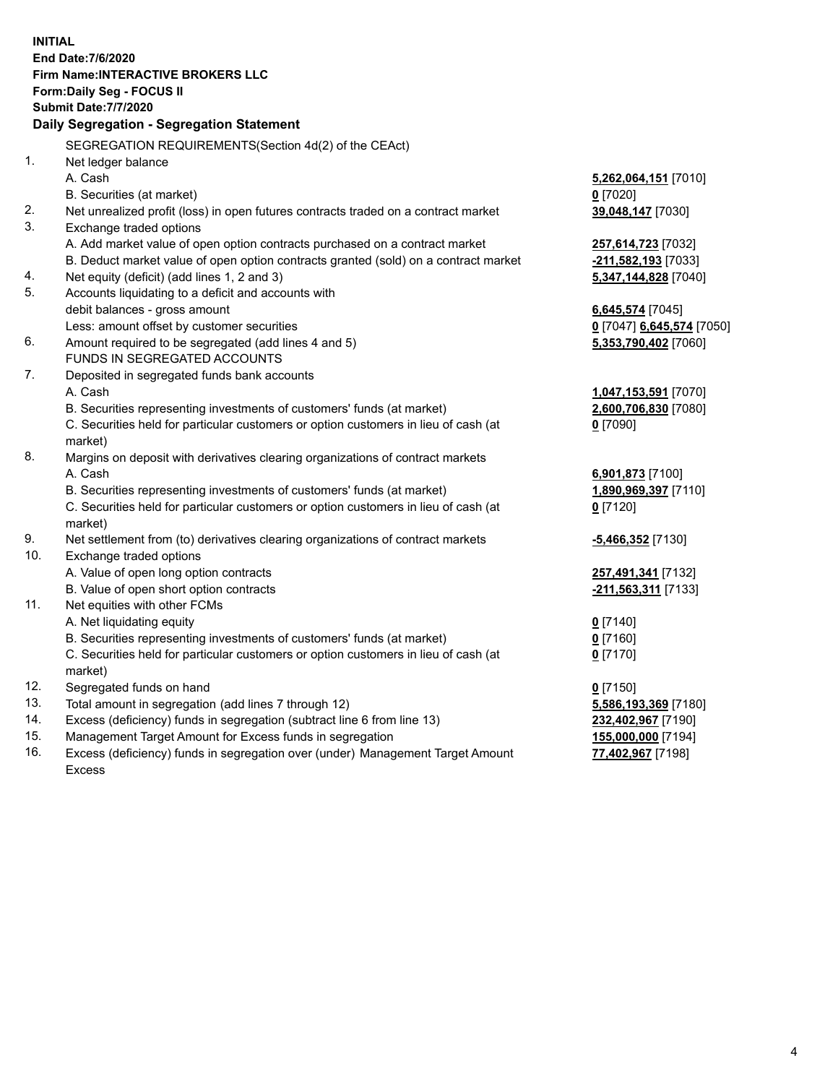**INITIAL End Date:7/6/2020 Firm Name:INTERACTIVE BROKERS LLC Form:Daily Seg - FOCUS II Submit Date:7/7/2020 Daily Segregation - Segregation Statement** SEGREGATION REQUIREMENTS(Section 4d(2) of the CEAct) 1. Net ledger balance A. Cash **5,262,064,151** [7010] B. Securities (at market) **0** [7020] 2. Net unrealized profit (loss) in open futures contracts traded on a contract market **39,048,147** [7030] 3. Exchange traded options A. Add market value of open option contracts purchased on a contract market **257,614,723** [7032] B. Deduct market value of open option contracts granted (sold) on a contract market **-211,582,193** [7033] 4. Net equity (deficit) (add lines 1, 2 and 3) **5,347,144,828** [7040] 5. Accounts liquidating to a deficit and accounts with debit balances - gross amount **6,645,574** [7045] Less: amount offset by customer securities **0** [7047] **6,645,574** [7050] 6. Amount required to be segregated (add lines 4 and 5) **5,353,790,402** [7060] FUNDS IN SEGREGATED ACCOUNTS 7. Deposited in segregated funds bank accounts A. Cash **1,047,153,591** [7070] B. Securities representing investments of customers' funds (at market) **2,600,706,830** [7080] C. Securities held for particular customers or option customers in lieu of cash (at market) **0** [7090] 8. Margins on deposit with derivatives clearing organizations of contract markets A. Cash **6,901,873** [7100] B. Securities representing investments of customers' funds (at market) **1,890,969,397** [7110] C. Securities held for particular customers or option customers in lieu of cash (at market) **0** [7120] 9. Net settlement from (to) derivatives clearing organizations of contract markets **-5,466,352** [7130] 10. Exchange traded options A. Value of open long option contracts **257,491,341** [7132] B. Value of open short option contracts **-211,563,311** [7133] 11. Net equities with other FCMs A. Net liquidating equity **0** [7140] B. Securities representing investments of customers' funds (at market) **0** [7160] C. Securities held for particular customers or option customers in lieu of cash (at market) **0** [7170] 12. Segregated funds on hand **0** [7150] 13. Total amount in segregation (add lines 7 through 12) **5,586,193,369** [7180] 14. Excess (deficiency) funds in segregation (subtract line 6 from line 13) **232,402,967** [7190] 15. Management Target Amount for Excess funds in segregation **155,000,000** [7194] 16. Excess (deficiency) funds in segregation over (under) Management Target Amount Excess **77,402,967** [7198]